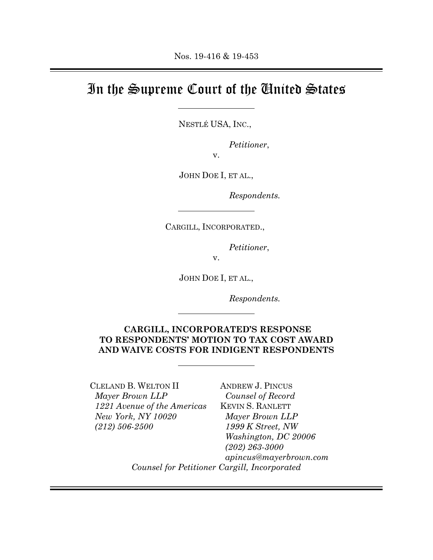## In the Supreme Court of the United States

NESTLÉ USA, INC.,

*Petitioner*,

v.

JOHN DOE I, ET AL.,

*Respondents.* 

CARGILL, INCORPORATED.,

*Petitioner*,

v.

JOHN DOE I, ET AL.,

*Respondents.* 

## **CARGILL, INCORPORATED'S RESPONSE TO RESPONDENTS' MOTION TO TAX COST AWARD AND WAIVE COSTS FOR INDIGENT RESPONDENTS**

CLELAND B. WELTON II *Mayer Brown LLP 1221 Avenue of the Americas New York, NY 10020 (212) 506-2500*

ANDREW J. PINCUS *Counsel of Record*  KEVIN S. RANLETT *Mayer Brown LLP 1999 K Street, NW Washington, DC 20006 (202) 263-3000 apincus@mayerbrown.com Counsel for Petitioner Cargill, Incorporated*